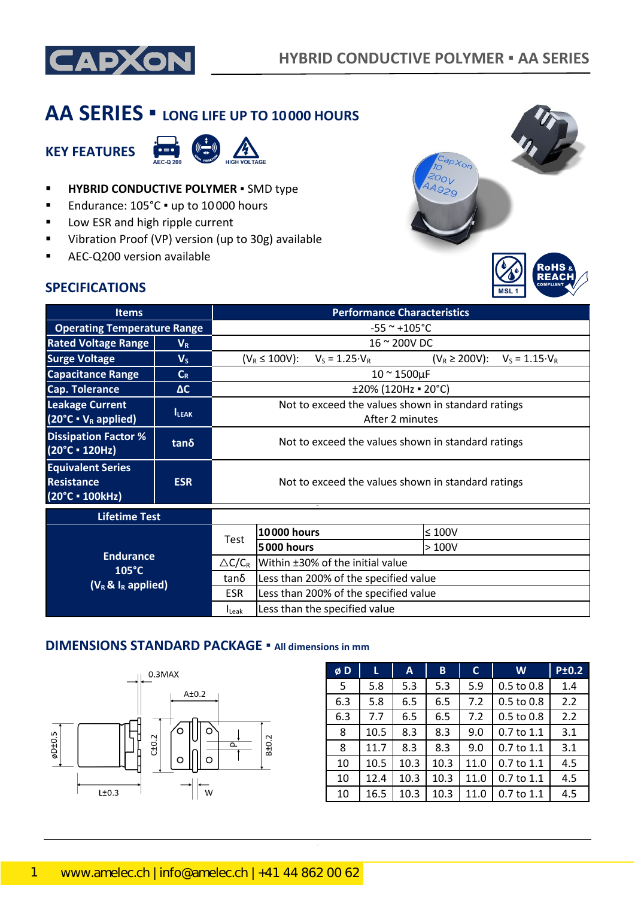

# **AA SERIES ▪ LONG LIFE UP TO 10000 HOURS**

## **KEY FEATURES**



- **HYBRID CONDUCTIVE POLYMER** SMD type
- Endurance: 105°C · up to 10000 hours
- Low ESR and high ripple current
- Vibration Proof (VP) version (up to 30g) available
- AEC-Q200 version available



### **SPECIFICATIONS**

| <b>Items</b>                                                        | <b>Performance Characteristics</b> |                                                    |                                                                       |                        |                                              |  |  |  |  |
|---------------------------------------------------------------------|------------------------------------|----------------------------------------------------|-----------------------------------------------------------------------|------------------------|----------------------------------------------|--|--|--|--|
| <b>Operating Temperature Range</b>                                  |                                    | $-55$ ~ +105°C                                     |                                                                       |                        |                                              |  |  |  |  |
| <b>Rated Voltage Range</b>                                          | $V_{R}$                            |                                                    | 16 ~ 200V DC                                                          |                        |                                              |  |  |  |  |
| <b>Surge Voltage</b>                                                | $V_{S}$                            |                                                    | $(V_R \le 100V)$ :                                                    | $V_S = 1.25 \cdot V_R$ | $(V_R \ge 200V)$ :<br>$V_S = 1.15 \cdot V_R$ |  |  |  |  |
| <b>Capacitance Range</b>                                            | $C_R$                              |                                                    | $10 \approx 1500 \mu F$                                               |                        |                                              |  |  |  |  |
| Cap. Tolerance                                                      | $\Delta C$                         |                                                    |                                                                       |                        | ±20% (120Hz = 20°C)                          |  |  |  |  |
| <b>Leakage Current</b><br>$(20^{\circ}C \cdot V_R \text{ applied})$ | <b>ILEAK</b>                       |                                                    | Not to exceed the values shown in standard ratings<br>After 2 minutes |                        |                                              |  |  |  |  |
| <b>Dissipation Factor %</b><br>(20°C = 120Hz)                       | $tan\delta$                        | Not to exceed the values shown in standard ratings |                                                                       |                        |                                              |  |  |  |  |
| <b>Equivalent Series</b><br><b>Resistance</b><br>(20°C • 100kHz)    | <b>ESR</b>                         | Not to exceed the values shown in standard ratings |                                                                       |                        |                                              |  |  |  |  |
| <b>Lifetime Test</b>                                                |                                    |                                                    |                                                                       |                        |                                              |  |  |  |  |
|                                                                     |                                    |                                                    | <b>10000 hours</b>                                                    |                        | $\leq 100$ V                                 |  |  |  |  |
|                                                                     |                                    | Test                                               | <b>5000 hours</b>                                                     | >100V                  |                                              |  |  |  |  |
| <b>Endurance</b>                                                    |                                    | $\triangle C/C_R$                                  | Within ±30% of the initial value                                      |                        |                                              |  |  |  |  |
| $105^{\circ}$ C<br>$(V_R \& I_R$ applied)                           |                                    | tanδ                                               | Less than 200% of the specified value                                 |                        |                                              |  |  |  |  |
|                                                                     | <b>ESR</b>                         | Less than 200% of the specified value              |                                                                       |                        |                                              |  |  |  |  |
|                                                                     |                                    | <b>I</b> Leak                                      | Less than the specified value                                         |                        |                                              |  |  |  |  |

### **DIMENSIONS STANDARD PACKAGE ▪ All dimensions in mm**



| øD  | L    | A    | B    | $\mathsf{C}$ | W              | <b>P±0.2</b> |
|-----|------|------|------|--------------|----------------|--------------|
| 5   | 5.8  | 5.3  | 5.3  | 5.9          | 0.5 to 0.8     | 1.4          |
| 6.3 | 5.8  | 6.5  | 6.5  | 7.2          | 0.5 to 0.8     | 2.2          |
| 6.3 | 7.7  | 6.5  | 6.5  | 7.2          | $0.5$ to $0.8$ | 2.2          |
| 8   | 10.5 | 8.3  | 8.3  | 9.0          | $0.7$ to $1.1$ | 3.1          |
| 8   | 11.7 | 8.3  | 8.3  | 9.0          | $0.7$ to $1.1$ | 3.1          |
| 10  | 10.5 | 10.3 | 10.3 | 11.0         | $0.7$ to $1.1$ | 4.5          |
| 10  | 12.4 | 10.3 | 10.3 | 11.0         | $0.7$ to $1.1$ | 4.5          |
| 10  | 16.5 | 10.3 | 10.3 | 11.0         | 0.7 to 1.1     | 4.5          |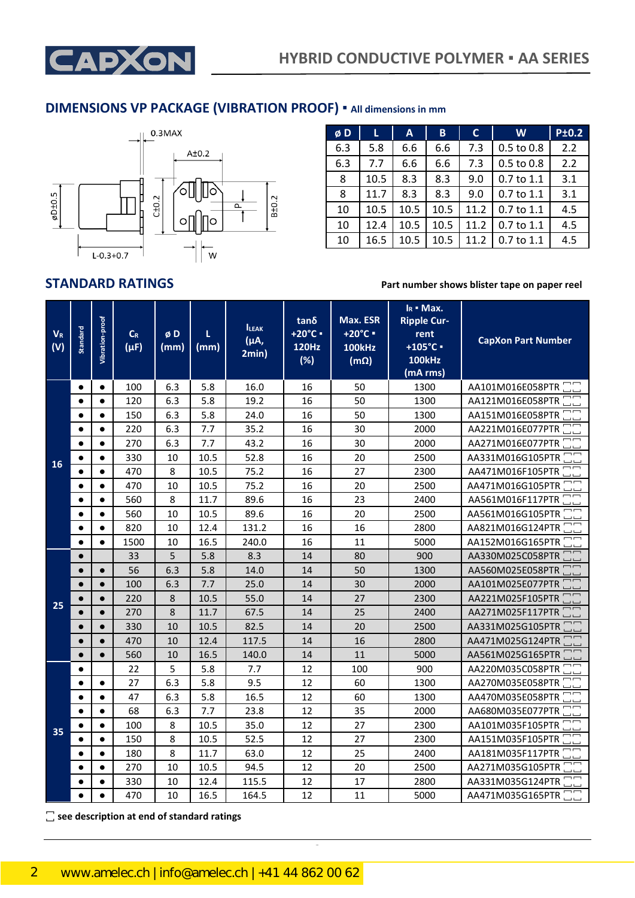

### **DIMENSIONS VP PACKAGE (VIBRATION PROOF) ▪ All dimensions in mm**



| øD  | L    | $\mathsf{A}$ | B    | C    | W          | <b>P±0.2</b> |
|-----|------|--------------|------|------|------------|--------------|
| 6.3 | 5.8  | 6.6          | 6.6  | 7.3  | 0.5 to 0.8 | 2.2          |
| 6.3 | 7.7  | 6.6          | 6.6  | 7.3  | 0.5 to 0.8 | 2.2          |
| 8   | 10.5 | 8.3          | 8.3  | 9.0  | 0.7 to 1.1 | 3.1          |
| 8   | 11.7 | 8.3          | 8.3  | 9.0  | 0.7 to 1.1 | 3.1          |
| 10  | 10.5 | 10.5         | 10.5 | 11.2 | 0.7 to 1.1 | 4.5          |
| 10  | 12.4 | 10.5         | 10.5 | 11.2 | 0.7 to 1.1 | 4.5          |
| 10  | 16.5 | 10.5         | 10.5 | 11.2 | 0.7 to 1.1 | 4.5          |

**STANDARD RATINGS Part number shows blister tape on paper reel**

| <b>VR</b><br>(V) | Standard  | Vibration-proof | $C_R$<br>$(\mu F)$ | øD<br>(mm) | L<br>(mm) | <b>ILEAK</b><br>(μA,<br>2min) | tanδ<br>+20°C ·<br>120Hz<br>(%) | Max. ESR<br>$+20^{\circ}$ C =<br><b>100kHz</b><br>$(m\Omega)$ | $I_R$ • Max.<br><b>Ripple Cur-</b><br>rent<br>$+105^{\circ}$ C -<br><b>100kHz</b><br>(mA rms) | <b>CapXon Part Number</b> |
|------------------|-----------|-----------------|--------------------|------------|-----------|-------------------------------|---------------------------------|---------------------------------------------------------------|-----------------------------------------------------------------------------------------------|---------------------------|
|                  | $\bullet$ | $\bullet$       | 100                | 6.3        | 5.8       | 16.0                          | 16                              | 50                                                            | 1300                                                                                          | AA101M016E058PTR          |
|                  | $\bullet$ | $\bullet$       | 120                | 6.3        | 5.8       | 19.2                          | 16                              | 50                                                            | 1300                                                                                          | AA121M016E058PTR          |
|                  | $\bullet$ | $\bullet$       | 150                | 6.3        | 5.8       | 24.0                          | 16                              | 50                                                            | 1300                                                                                          | AA151M016E058PTR          |
|                  | $\bullet$ | $\bullet$       | 220                | 6.3        | 7.7       | 35.2                          | 16                              | 30                                                            | 2000                                                                                          | AA221M016E077PTR          |
|                  | $\bullet$ | $\bullet$       | 270                | 6.3        | 7.7       | 43.2                          | 16                              | 30                                                            | 2000                                                                                          | AA271M016E077PTR          |
| <b>16</b>        | $\bullet$ | $\bullet$       | 330                | 10         | 10.5      | 52.8                          | 16                              | 20                                                            | 2500                                                                                          | AA331M016G105PTR          |
|                  | $\bullet$ | $\bullet$       | 470                | 8          | 10.5      | 75.2                          | 16                              | 27                                                            | 2300                                                                                          | AA471M016F105PTR          |
|                  | $\bullet$ | $\bullet$       | 470                | 10         | 10.5      | 75.2                          | 16                              | 20                                                            | 2500                                                                                          | AA471M016G105PTR          |
|                  | $\bullet$ | $\bullet$       | 560                | 8          | 11.7      | 89.6                          | 16                              | 23                                                            | 2400                                                                                          | AA561M016F117PTR          |
|                  | $\bullet$ | $\bullet$       | 560                | 10         | 10.5      | 89.6                          | 16                              | 20                                                            | 2500                                                                                          | AA561M016G105PTR          |
|                  | $\bullet$ | $\bullet$       | 820                | 10         | 12.4      | 131.2                         | 16                              | 16                                                            | 2800                                                                                          | AA821M016G124PTR          |
|                  | $\bullet$ | $\bullet$       | 1500               | 10         | 16.5      | 240.0                         | 16                              | 11                                                            | 5000                                                                                          | AA152M016G165PTR          |
|                  | $\bullet$ |                 | 33                 | 5          | 5.8       | 8.3                           | 14                              | 80                                                            | 900                                                                                           | AA330M025C058PTR          |
|                  | $\bullet$ | $\bullet$       | 56                 | 6.3        | 5.8       | 14.0                          | 14                              | 50                                                            | 1300                                                                                          | AA560M025E058PTR          |
|                  | $\bullet$ | $\bullet$       | 100                | 6.3        | 7.7       | 25.0                          | 14                              | 30                                                            | 2000                                                                                          | AA101M025E077PTR          |
| 25               | $\bullet$ | $\bullet$       | 220                | 8          | 10.5      | 55.0                          | 14                              | 27                                                            | 2300                                                                                          | AA221M025F105PTR          |
|                  | $\bullet$ |                 | 270                | 8          | 11.7      | 67.5                          | 14                              | 25                                                            | 2400                                                                                          | AA271M025F117PTR          |
|                  | $\bullet$ | $\bullet$       | 330                | 10         | 10.5      | 82.5                          | 14                              | 20                                                            | 2500                                                                                          | AA331M025G105PTR          |
|                  | $\bullet$ | $\bullet$       | 470                | 10         | 12.4      | 117.5                         | 14                              | 16                                                            | 2800                                                                                          | AA471M025G124PTR          |
|                  | $\bullet$ | $\bullet$       | 560                | 10         | 16.5      | 140.0                         | 14                              | 11                                                            | 5000                                                                                          | AA561M025G165PTR          |
|                  | $\bullet$ |                 | 22                 | 5          | 5.8       | 7.7                           | 12                              | 100                                                           | 900                                                                                           | AA220M035C058PTR          |
|                  | $\bullet$ | $\bullet$       | 27                 | 6.3        | 5.8       | 9.5                           | 12                              | 60                                                            | 1300                                                                                          | AA270M035E058PTR          |
|                  | $\bullet$ | $\bullet$       | 47                 | 6.3        | 5.8       | 16.5                          | 12                              | 60                                                            | 1300                                                                                          | AA470M035E058PTR          |
|                  | $\bullet$ | $\bullet$       | 68                 | 6.3        | 7.7       | 23.8                          | 12                              | 35                                                            | 2000                                                                                          | AA680M035E077PTR          |
| 35               | $\bullet$ | $\bullet$       | 100                | 8          | 10.5      | 35.0                          | 12                              | 27                                                            | 2300                                                                                          | AA101M035F105PTR          |
|                  | $\bullet$ | $\bullet$       | 150                | 8          | 10.5      | 52.5                          | 12                              | 27                                                            | 2300                                                                                          | AA151M035F105PTR          |
|                  | $\bullet$ | $\bullet$       | 180                | 8          | 11.7      | 63.0                          | 12                              | 25                                                            | 2400                                                                                          | AA181M035F117PTR          |
|                  | $\bullet$ | $\bullet$       | 270                | 10         | 10.5      | 94.5                          | 12                              | 20                                                            | 2500                                                                                          | AA271M035G105PTR          |
|                  | $\bullet$ | $\bullet$       | 330                | 10         | 12.4      | 115.5                         | 12                              | 17                                                            | 2800                                                                                          | AA331M035G124PTR          |
|                  | $\bullet$ | $\bullet$       | 470                | 10         | 16.5      | 164.5                         | 12                              | 11                                                            | 5000                                                                                          | AA471M035G165PTR □□       |

CapXon\_Ver. 001 – 03/31/2020 2 Document Number: AA series

**꙱ see description at end of standard ratings**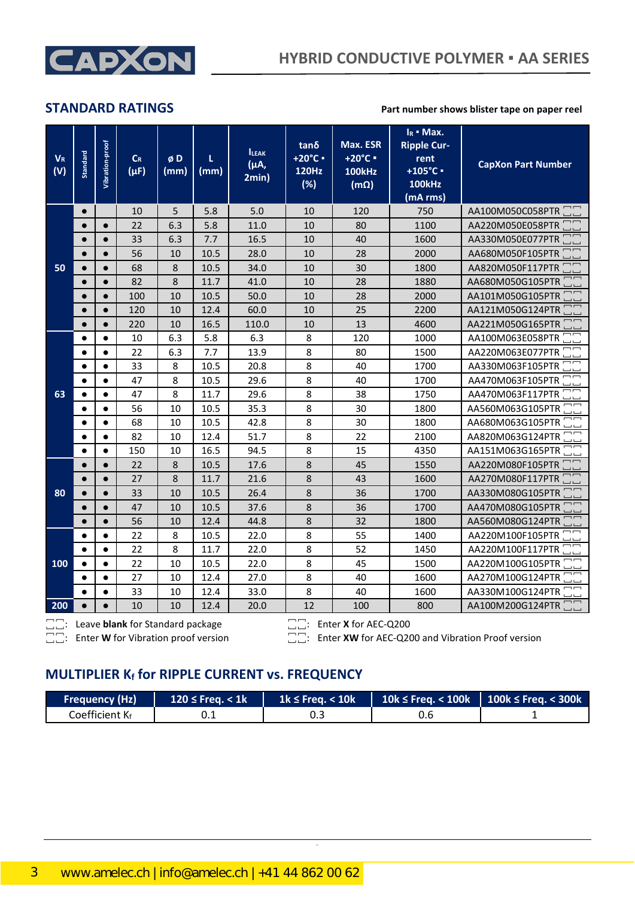

**STANDARD RATINGS Part number shows blister tape on paper reel** 

| $V_R$<br>(V) | Standard  | Vibration-proof | $C_R$<br>$(\mu F)$ | øD<br>(mm) | L<br>(mm) | <b>ILEAK</b><br>(μA,<br>2min) | $tan\delta$<br>+20°C ·<br><b>120Hz</b><br>(%) | Max. ESR<br>$+20^{\circ}$ C =<br><b>100kHz</b><br>$(m\Omega)$ | $I_R$ - Max.<br><b>Ripple Cur-</b><br>rent<br>+105°C ·<br><b>100kHz</b><br>(mA rms) | <b>CapXon Part Number</b> |
|--------------|-----------|-----------------|--------------------|------------|-----------|-------------------------------|-----------------------------------------------|---------------------------------------------------------------|-------------------------------------------------------------------------------------|---------------------------|
|              | $\bullet$ |                 | 10                 | 5          | 5.8       | 5.0                           | 10                                            | 120                                                           | 750                                                                                 | AA100M050C058PTR          |
|              | $\bullet$ | $\bullet$       | 22                 | 6.3        | 5.8       | 11.0                          | 10                                            | 80                                                            | 1100                                                                                | AA220M050E058PTR          |
|              | $\bullet$ | $\bullet$       | 33                 | 6.3        | 7.7       | 16.5                          | 10                                            | 40                                                            | 1600                                                                                | AA330M050E077PTR          |
|              | $\bullet$ | $\bullet$       | 56                 | 10         | 10.5      | 28.0                          | 10                                            | 28                                                            | 2000                                                                                | AA680M050F105PTR          |
| 50           | $\bullet$ | $\bullet$       | 68                 | 8          | 10.5      | 34.0                          | 10                                            | 30                                                            | 1800                                                                                | AA820M050F117PTR          |
|              | $\bullet$ | $\bullet$       | 82                 | 8          | 11.7      | 41.0                          | 10                                            | 28                                                            | 1880                                                                                | AA680M050G105PTR          |
|              | $\bullet$ | $\bullet$       | 100                | 10         | 10.5      | 50.0                          | 10                                            | 28                                                            | 2000                                                                                | AA101M050G105PTR          |
|              | $\bullet$ | $\bullet$       | 120                | 10         | 12.4      | 60.0                          | 10                                            | 25                                                            | 2200                                                                                | AA121M050G124PTR          |
|              | $\bullet$ | $\bullet$       | 220                | 10         | 16.5      | 110.0                         | 10                                            | 13                                                            | 4600                                                                                | AA221M050G165PTR          |
|              | $\bullet$ | $\bullet$       | 10                 | 6.3        | 5.8       | 6.3                           | 8                                             | 120                                                           | 1000                                                                                | AA100M063E058PTR          |
|              | $\bullet$ | $\bullet$       | 22                 | 6.3        | 7.7       | 13.9                          | 8                                             | 80                                                            | 1500                                                                                | AA220M063E077PTR          |
|              | $\bullet$ | $\bullet$       | 33                 | 8          | 10.5      | 20.8                          | 8                                             | 40                                                            | 1700                                                                                | AA330M063F105PTR          |
|              | $\bullet$ | $\bullet$       | 47                 | 8          | 10.5      | 29.6                          | 8                                             | 40                                                            | 1700                                                                                | AA470M063F105PTR          |
| 63           | $\bullet$ | $\bullet$       | 47                 | 8          | 11.7      | 29.6                          | 8                                             | 38                                                            | 1750                                                                                | AA470M063F117PTR          |
|              | $\bullet$ | $\bullet$       | 56                 | 10         | 10.5      | 35.3                          | 8                                             | 30                                                            | 1800                                                                                | AA560M063G105PTR          |
|              | $\bullet$ | $\bullet$       | 68                 | 10         | 10.5      | 42.8                          | 8                                             | 30                                                            | 1800                                                                                | AA680M063G105PTR          |
|              | $\bullet$ | $\bullet$       | 82                 | 10         | 12.4      | 51.7                          | 8                                             | 22                                                            | 2100                                                                                | AA820M063G124PTR          |
|              | $\bullet$ | $\bullet$       | 150                | 10         | 16.5      | 94.5                          | 8                                             | 15                                                            | 4350                                                                                | AA151M063G165PTR          |
|              | $\bullet$ | $\bullet$       | 22                 | 8          | 10.5      | 17.6                          | 8                                             | 45                                                            | 1550                                                                                | AA220M080F105PTR          |
|              | $\bullet$ | $\bullet$       | 27                 | 8          | 11.7      | 21.6                          | 8                                             | 43                                                            | 1600                                                                                | AA270M080F117PTR          |
| 80           | $\bullet$ | $\bullet$       | 33                 | 10         | 10.5      | 26.4                          | 8                                             | 36                                                            | 1700                                                                                | AA330M080G105PTR          |
|              | $\bullet$ | $\bullet$       | 47                 | 10         | 10.5      | 37.6                          | 8                                             | 36                                                            | 1700                                                                                | AA470M080G105PTR          |
|              | $\bullet$ | $\bullet$       | 56                 | 10         | 12.4      | 44.8                          | 8                                             | 32                                                            | 1800                                                                                | AA560M080G124PTR          |
|              | $\bullet$ | $\bullet$       | 22                 | 8          | 10.5      | 22.0                          | 8                                             | 55                                                            | 1400                                                                                | AA220M100F105PTR          |
|              | $\bullet$ | $\bullet$       | 22                 | 8          | 11.7      | 22.0                          | 8                                             | 52                                                            | 1450                                                                                | AA220M100F117PTR          |
| 100          | $\bullet$ | $\bullet$       | 22                 | 10         | 10.5      | 22.0                          | 8                                             | 45                                                            | 1500                                                                                | AA220M100G105PTR          |
|              | $\bullet$ | $\bullet$       | 27                 | 10         | 12.4      | 27.0                          | 8                                             | 40                                                            | 1600                                                                                | AA270M100G124PTR          |
|              | $\bullet$ | $\bullet$       | 33                 | 10         | 12.4      | 33.0                          | 8                                             | 40                                                            | 1600                                                                                | AA330M100G124PTR          |
| 200          | $\bullet$ | $\bullet$       | 10                 | 10         | 12.4      | 20.0                          | 12                                            | 100                                                           | 800                                                                                 | AA100M200G124PTR          |

꙱꙱: Leave **blank** for Standard package ꙱꙱: Enter **X** for AEC-Q200

꙱꙱: Enter **W** for Vibration proof version ꙱꙱: Enter **XW** for AEC-Q200 and Vibration Proof version

### **MULTIPLIER K<sup>f</sup> for RIPPLE CURRENT vs. FREQUENCY**

| Frequency (Hz)           | $120 \le$ Frea. $<$ 1k | $1k \leq$ Freq. $< 10k$ | 10k $\le$ Freq. < 100k   100k $\le$ Freq. < 300k $^1$ |  |
|--------------------------|------------------------|-------------------------|-------------------------------------------------------|--|
| Coefficient K $_{\rm f}$ |                        |                         |                                                       |  |

CapXon\_Ver. 001 – 03/31/2020 3 Document Number: AA series